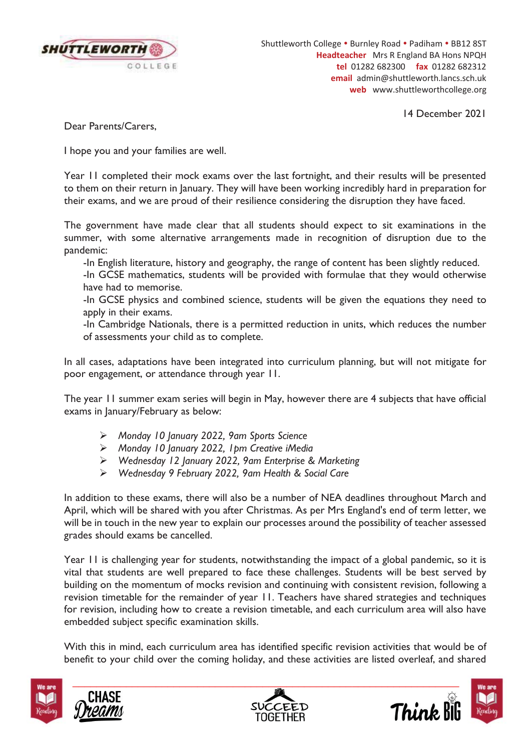

Shuttleworth College . Burnley Road . Padiham . BB12 8ST **Headteacher** Mrs R England BA Hons NPQH **tel** 01282 682300 **fax** 01282 682312 **email** admin@shuttleworth.lancs.sch.uk **web** www.shuttleworthcollege.org

14 December 2021

Dear Parents/Carers,

I hope you and your families are well.

Year 11 completed their mock exams over the last fortnight, and their results will be presented to them on their return in January. They will have been working incredibly hard in preparation for their exams, and we are proud of their resilience considering the disruption they have faced.

The government have made clear that all students should expect to sit examinations in the summer, with some alternative arrangements made in recognition of disruption due to the pandemic:

-In English literature, history and geography, the range of content has been slightly reduced.

-In GCSE mathematics, students will be provided with formulae that they would otherwise have had to memorise.

-In GCSE physics and combined science, students will be given the equations they need to apply in their exams.

-In Cambridge Nationals, there is a permitted reduction in units, which reduces the number of assessments your child as to complete.

In all cases, adaptations have been integrated into curriculum planning, but will not mitigate for poor engagement, or attendance through year 11.

The year 11 summer exam series will begin in May, however there are 4 subjects that have official exams in January/February as below:

- ¾ *Monday 10 January 2022, 9am Sports Science*
- ¾ *Monday 10 January 2022, 1pm Creative iMedia*
- ¾ *Wednesday 12 January 2022, 9am Enterprise & Marketing*
- ¾ *Wednesday 9 February 2022, 9am Health & Social Care*

In addition to these exams, there will also be a number of NEA deadlines throughout March and April, which will be shared with you after Christmas. As per Mrs England's end of term letter, we will be in touch in the new year to explain our processes around the possibility of teacher assessed grades should exams be cancelled.

Year 11 is challenging year for students, notwithstanding the impact of a global pandemic, so it is vital that students are well prepared to face these challenges. Students will be best served by building on the momentum of mocks revision and continuing with consistent revision, following a revision timetable for the remainder of year 11. Teachers have shared strategies and techniques for revision, including how to create a revision timetable, and each curriculum area will also have embedded subject specific examination skills.

With this in mind, each curriculum area has identified specific revision activities that would be of benefit to your child over the coming holiday, and these activities are listed overleaf, and shared







Think Bi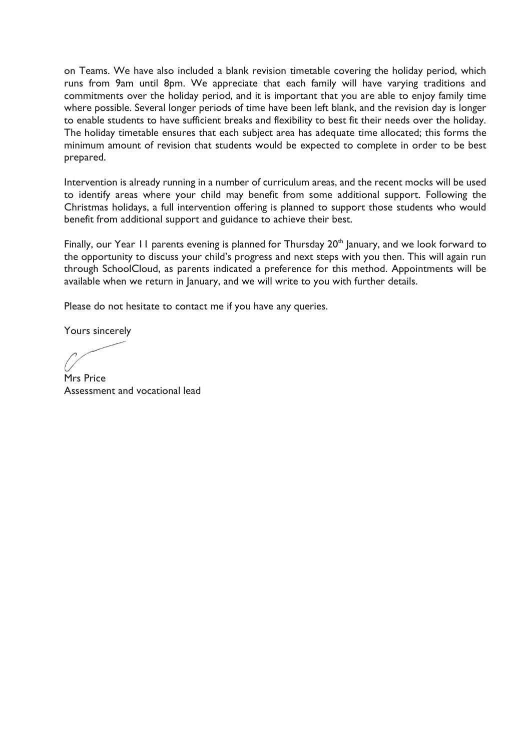on Teams. We have also included a blank revision timetable covering the holiday period, which runs from 9am until 8pm. We appreciate that each family will have varying traditions and commitments over the holiday period, and it is important that you are able to enjoy family time where possible. Several longer periods of time have been left blank, and the revision day is longer to enable students to have sufficient breaks and flexibility to best fit their needs over the holiday. The holiday timetable ensures that each subject area has adequate time allocated; this forms the minimum amount of revision that students would be expected to complete in order to be best prepared.

Intervention is already running in a number of curriculum areas, and the recent mocks will be used to identify areas where your child may benefit from some additional support. Following the Christmas holidays, a full intervention offering is planned to support those students who would benefit from additional support and guidance to achieve their best.

Finally, our Year 11 parents evening is planned for Thursday  $20<sup>th</sup>$  January, and we look forward to the opportunity to discuss your child's progress and next steps with you then. This will again run through SchoolCloud, as parents indicated a preference for this method. Appointments will be available when we return in January, and we will write to you with further details.

Please do not hesitate to contact me if you have any queries.

Yours sincerely

Mrs Price Assessment and vocational lead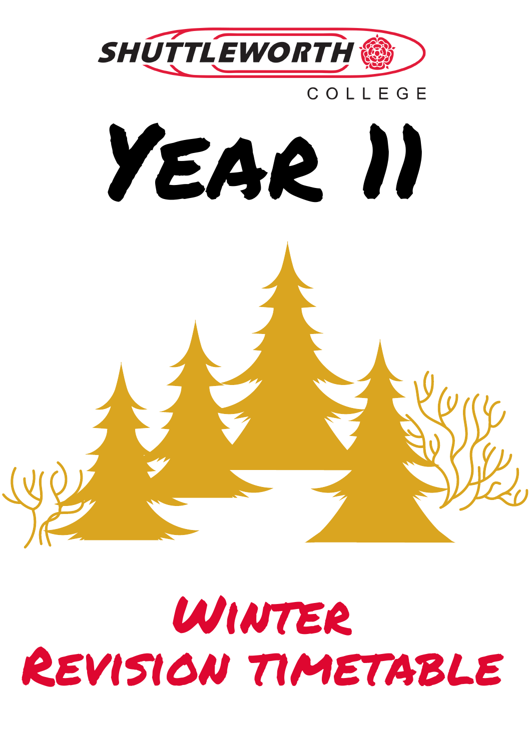

## Winter Revision timetable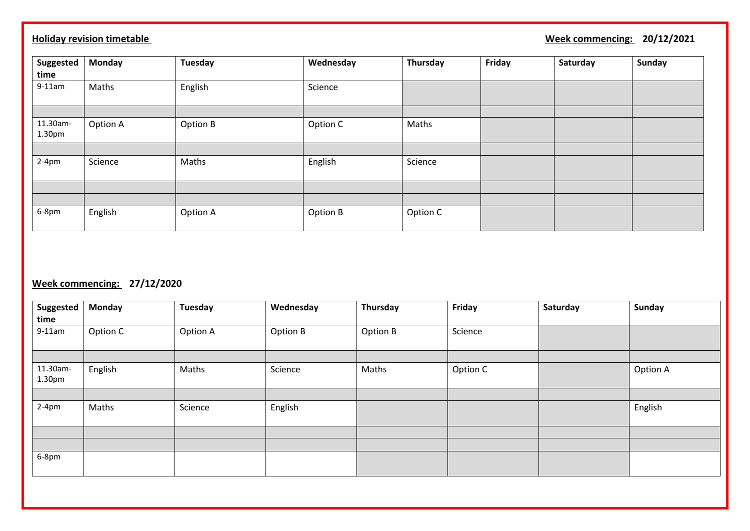## **Holiday revision timetable** 20/12/2021

| Suggested          | <b>Monday</b> | <b>Tuesday</b> | Wednesday | Thursday | Friday | Saturday | <b>Sunday</b> |
|--------------------|---------------|----------------|-----------|----------|--------|----------|---------------|
| time               |               |                |           |          |        |          |               |
| $9-11$ am          | Maths         | English        | Science   |          |        |          |               |
|                    |               |                |           |          |        |          |               |
| 11.30am-<br>1.30pm | Option A      | Option B       | Option C  | Maths    |        |          |               |
|                    |               |                |           |          |        |          |               |
| $2-4pm$            | Science       | Maths          | English   | Science  |        |          |               |
|                    |               |                |           |          |        |          |               |
|                    |               |                |           |          |        |          |               |
| 6-8pm              | English       | Option A       | Option B  | Option C |        |          |               |

## **Week commencing: 27/12/2020**

| Suggested<br>time  | <b>Monday</b> | Tuesday  | Wednesday | Thursday | Friday   | Saturday | <b>Sunday</b> |
|--------------------|---------------|----------|-----------|----------|----------|----------|---------------|
| $9-11am$           | Option C      | Option A | Option B  | Option B | Science  |          |               |
|                    |               |          |           |          |          |          |               |
| 11.30am-<br>1.30pm | English       | Maths    | Science   | Maths    | Option C |          | Option A      |
|                    |               |          |           |          |          |          |               |
| $2-4pm$            | Maths         | Science  | English   |          |          |          | English       |
|                    |               |          |           |          |          |          |               |
|                    |               |          |           |          |          |          |               |
| 6-8pm              |               |          |           |          |          |          |               |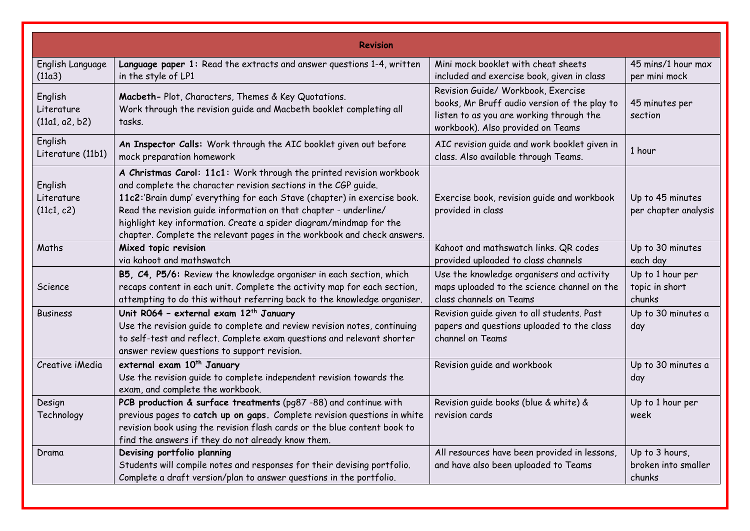|                                         | <b>Revision</b>                                                                                                                                                                                                                                                                                                                                                                                                                       |                                                                                                                                                                     |                                                 |
|-----------------------------------------|---------------------------------------------------------------------------------------------------------------------------------------------------------------------------------------------------------------------------------------------------------------------------------------------------------------------------------------------------------------------------------------------------------------------------------------|---------------------------------------------------------------------------------------------------------------------------------------------------------------------|-------------------------------------------------|
| English Language<br>(11a3)              | Language paper 1: Read the extracts and answer questions 1-4, written<br>in the style of LP1                                                                                                                                                                                                                                                                                                                                          | Mini mock booklet with cheat sheets<br>included and exercise book, given in class                                                                                   | 45 mins/1 hour max<br>per mini mock             |
| English<br>Literature<br>(11a1, a2, b2) | Macbeth-Plot, Characters, Themes & Key Quotations.<br>Work through the revision guide and Macbeth booklet completing all<br>tasks.                                                                                                                                                                                                                                                                                                    | Revision Guide/ Workbook, Exercise<br>books, Mr Bruff audio version of the play to<br>listen to as you are working through the<br>workbook). Also provided on Teams | 45 minutes per<br>section                       |
| English<br>Literature (11b1)            | An Inspector Calls: Work through the AIC booklet given out before<br>mock preparation homework                                                                                                                                                                                                                                                                                                                                        | AIC revision guide and work booklet given in<br>class. Also available through Teams.                                                                                | 1 hour                                          |
| English<br>Literature<br>(11c1, c2)     | A Christmas Carol: 11c1: Work through the printed revision workbook<br>and complete the character revision sections in the CGP quide.<br>11c2:'Brain dump' everything for each Stave (chapter) in exercise book.<br>Read the revision guide information on that chapter - underline/<br>highlight key information. Create a spider diagram/mindmap for the<br>chapter. Complete the relevant pages in the workbook and check answers. | Exercise book, revision guide and workbook<br>provided in class                                                                                                     | Up to 45 minutes<br>per chapter analysis        |
| Maths                                   | Mixed topic revision<br>via kahoot and mathswatch                                                                                                                                                                                                                                                                                                                                                                                     | Kahoot and mathswatch links. QR codes<br>provided uploaded to class channels                                                                                        | Up to 30 minutes<br>each day                    |
| Science                                 | B5, C4, P5/6: Review the knowledge organiser in each section, which<br>recaps content in each unit. Complete the activity map for each section,<br>attempting to do this without referring back to the knowledge organiser.                                                                                                                                                                                                           | Use the knowledge organisers and activity<br>maps uploaded to the science channel on the<br>class channels on Teams                                                 | Up to 1 hour per<br>topic in short<br>chunks    |
| <b>Business</b>                         | Unit R064 - external exam 12 <sup>th</sup> January<br>Use the revision guide to complete and review revision notes, continuing<br>to self-test and reflect. Complete exam questions and relevant shorter<br>answer review questions to support revision.                                                                                                                                                                              | Revision guide given to all students. Past<br>papers and questions uploaded to the class<br>channel on Teams                                                        | Up to 30 minutes a<br>day                       |
| Creative iMedia                         | external exam 10 <sup>th</sup> January<br>Use the revision quide to complete independent revision towards the<br>exam, and complete the workbook.                                                                                                                                                                                                                                                                                     | Revision guide and workbook                                                                                                                                         | Up to 30 minutes a<br>day                       |
| Design<br>Technology                    | PCB production & surface treatments (pg87 -88) and continue with<br>previous pages to catch up on gaps. Complete revision questions in white<br>revision book using the revision flash cards or the blue content book to<br>find the answers if they do not already know them.                                                                                                                                                        | Revision quide books (blue & white) &<br>revision cards                                                                                                             | Up to 1 hour per<br>week                        |
| Drama                                   | Devising portfolio planning<br>Students will compile notes and responses for their devising portfolio.<br>Complete a draft version/plan to answer questions in the portfolio.                                                                                                                                                                                                                                                         | All resources have been provided in lessons,<br>and have also been uploaded to Teams                                                                                | Up to 3 hours,<br>broken into smaller<br>chunks |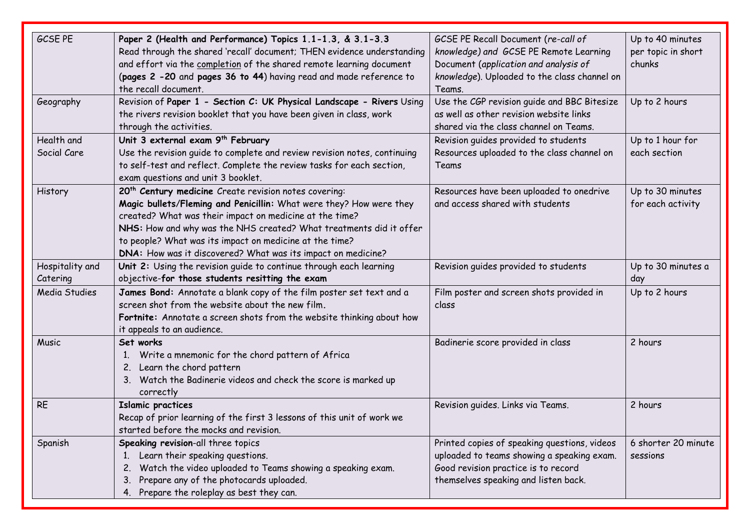| GCSE PE              | Paper 2 (Health and Performance) Topics 1.1-1.3, & 3.1-3.3               | GCSE PE Recall Document (re-call of          | Up to 40 minutes    |
|----------------------|--------------------------------------------------------------------------|----------------------------------------------|---------------------|
|                      | Read through the shared 'recall' document; THEN evidence understanding   | knowledge) and GCSE PE Remote Learning       | per topic in short  |
|                      | and effort via the completion of the shared remote learning document     | Document (application and analysis of        | chunks              |
|                      | (pages 2 -20 and pages 36 to 44) having read and made reference to       | knowledge). Uploaded to the class channel on |                     |
|                      | the recall document.                                                     | Teams.                                       |                     |
| Geography            | Revision of Paper 1 - Section C: UK Physical Landscape - Rivers Using    | Use the CGP revision guide and BBC Bitesize  | Up to 2 hours       |
|                      | the rivers revision booklet that you have been given in class, work      | as well as other revision website links      |                     |
|                      | through the activities.                                                  | shared via the class channel on Teams.       |                     |
| Health and           | Unit 3 external exam 9 <sup>th</sup> February                            | Revision guides provided to students         | Up to 1 hour for    |
| Social Care          | Use the revision guide to complete and review revision notes, continuing | Resources uploaded to the class channel on   | each section        |
|                      | to self-test and reflect. Complete the review tasks for each section,    | Teams                                        |                     |
|                      | exam questions and unit 3 booklet.                                       |                                              |                     |
| History              | 20 <sup>th</sup> Century medicine Create revision notes covering:        | Resources have been uploaded to onedrive     | Up to 30 minutes    |
|                      | Magic bullets/Fleming and Penicillin: What were they? How were they      | and access shared with students              | for each activity   |
|                      | created? What was their impact on medicine at the time?                  |                                              |                     |
|                      | NHS: How and why was the NHS created? What treatments did it offer       |                                              |                     |
|                      | to people? What was its impact on medicine at the time?                  |                                              |                     |
|                      | DNA: How was it discovered? What was its impact on medicine?             |                                              |                     |
| Hospitality and      | Unit 2: Using the revision guide to continue through each learning       | Revision quides provided to students         | Up to 30 minutes a  |
| Catering             | objective-for those students resitting the exam                          |                                              | day                 |
| <b>Media Studies</b> | James Bond: Annotate a blank copy of the film poster set text and a      | Film poster and screen shots provided in     | Up to 2 hours       |
|                      | screen shot from the website about the new film.                         | class                                        |                     |
|                      | Fortnite: Annotate a screen shots from the website thinking about how    |                                              |                     |
|                      | it appeals to an audience.                                               |                                              |                     |
| Music                | Set works                                                                | Badinerie score provided in class            | 2 hours             |
|                      | Write a mnemonic for the chord pattern of Africa<br>1.                   |                                              |                     |
|                      | Learn the chord pattern<br>2.                                            |                                              |                     |
|                      | 3. Watch the Badinerie videos and check the score is marked up           |                                              |                     |
|                      | correctly                                                                |                                              |                     |
| <b>RE</b>            | <b>Islamic practices</b>                                                 | Revision guides. Links via Teams.            | 2 hours             |
|                      | Recap of prior learning of the first 3 lessons of this unit of work we   |                                              |                     |
|                      | started before the mocks and revision.                                   |                                              |                     |
| Spanish              | Speaking revision-all three topics                                       | Printed copies of speaking questions, videos | 6 shorter 20 minute |
|                      | Learn their speaking questions.<br>1.                                    | uploaded to teams showing a speaking exam.   | sessions            |
|                      | Watch the video uploaded to Teams showing a speaking exam.<br>2.         | Good revision practice is to record          |                     |
|                      | Prepare any of the photocards uploaded.<br>3.                            | themselves speaking and listen back.         |                     |
|                      | Prepare the roleplay as best they can.<br>4.                             |                                              |                     |